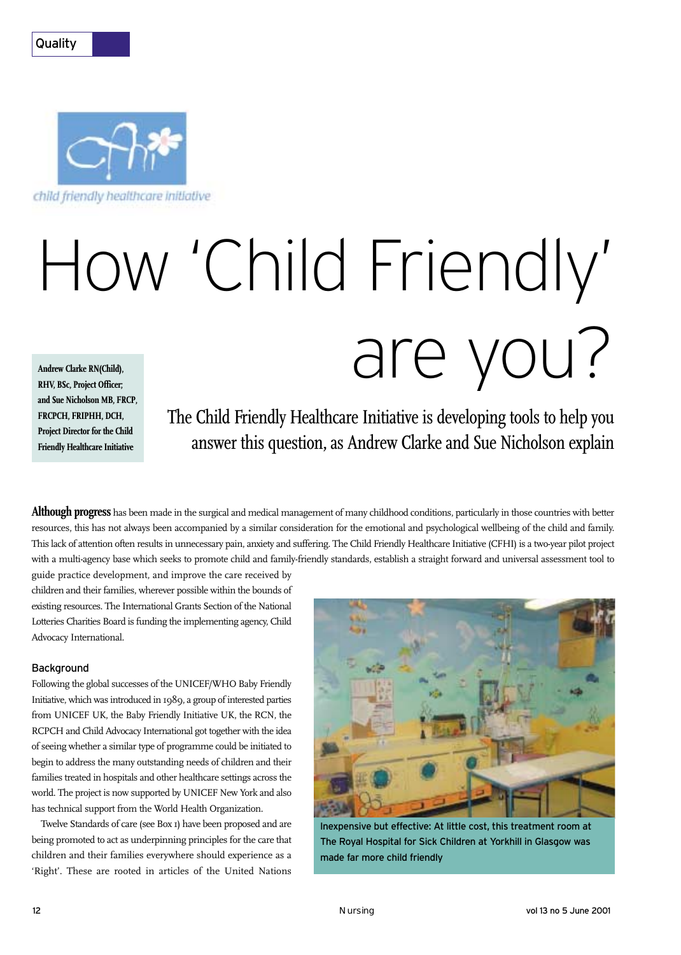## **Quality**



# **Andrew Clarke RN(Child),** How 'Child Friendly' are you?

**RHV, BSc, Project Officer; and Sue Nicholson MB, FRCP, FRCPCH, FRIPHH, DCH, Project Director for the Child Friendly Healthcare Initiative**

The Child Friendly Healthcare Initiative is developing tools to help you answer this question, as Andrew Clarke and Sue Nicholson explain

**Although progress** has been made in the surgical and medical management of many childhood conditions, particularly in those countries with better resources, this has not always been accompanied by a similar consideration for the emotional and psychological wellbeing of the child and family. This lack of attention often results in unnecessary pain, anxiety and suffering. The Child Friendly Healthcare Initiative (CFHI) is a two-year pilot project with a multi-agency base which seeks to promote child and family-friendly standards, establish a straight forward and universal assessment tool to

guide practice development, and improve the care received by children and their families, wherever possible within the bounds of existing resources. The International Grants Section of the National Lotteries Charities Board is funding the implementing agency, Child Advocacy International.

#### Background

Following the global successes of the UNICEF/WHO Baby Friendly Initiative, which was introduced in 1989, a group of interested parties from UNICEF UK, the Baby Friendly Initiative UK, the RCN, the RCPCH and Child Advocacy International got together with the idea of seeing whether a similar type of programme could be initiated to begin to address the many outstanding needs of children and their families treated in hospitals and other healthcare settings across the world. The project is now supported by UNICEF New York and also has technical support from the World Health Organization.

Twelve Standards of care (see Box 1) have been proposed and are being promoted to act as underpinning principles for the care that children and their families everywhere should experience as a 'Right'. These are rooted in articles of the United Nations



Inexpensive but effective: At little cost, this treatment room at The Royal Hospital for Sick Children at Yorkhill in Glasgow was made far more child friendly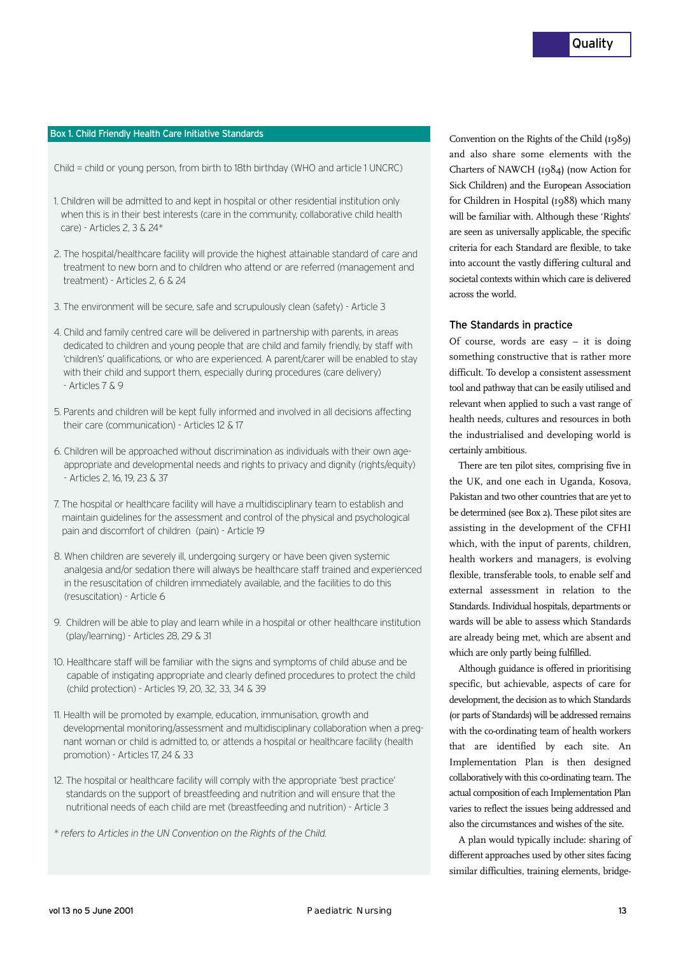#### Box 1. Child Friendly Health Care Initiative Standards

Child = child or young person, from birth to 18th birthday (WHO and article 1 UNCRC)

- 1. Children will be admitted to and kept in hospital or other residential institution only when this is in their best interests (care in the community, collaborative child health care) - Articles 2, 3 & 24\*
- 2. The hospital/healthcare facility will provide the highest attainable standard of care and treatment to new born and to children who attend or are referred (management and treatment) - Articles 2, 6 & 24
- 3. The environment will be secure, safe and scrupulously clean (safety) Article 3
- 4. Child and family centred care will be delivered in partnership with parents, in areas dedicated to children and young people that are child and family friendly, by staff with 'children's' qualifications, or who are experienced. A parent/carer will be enabled to stay with their child and support them, especially during procedures (care delivery) - Articles 7 & 9
- 5. Parents and children will be kept fully informed and involved in all decisions affecting their care (communication) - Articles 12 & 17
- 6. Children will be approached without discrimination as individuals with their own ageappropriate and developmental needs and rights to privacy and dignity (rights/equity) - Articles 2, 16, 19, 23 & 37
- 7. The hospital or healthcare facility will have a multidisciplinary team to establish and maintain guidelines for the assessment and control of the physical and psychological pain and discomfort of children (pain) - Article 19
- 8. When children are severely ill, undergoing surgery or have been given systemic analgesia and/or sedation there will always be healthcare staff trained and experienced in the resuscitation of children immediately available, and the facilities to do this (resuscitation) - Article 6
- 9. Children will be able to play and learn while in a hospital or other healthcare institution (play/learning) - Articles 28, 29 & 31
- 10. Healthcare staff will be familiar with the signs and symptoms of child abuse and be capable of instigating appropriate and clearly defined procedures to protect the child (child protection) - Articles 19, 20, 32, 33, 34 & 39
- 11. Health will be promoted by example, education, immunisation, growth and developmental monitoring/assessment and multidisciplinary collaboration when a pregnant woman or child is admitted to, or attends a hospital or healthcare facility (health promotion) - Articles 17, 24 & 33
- 12. The hospital or healthcare facility will comply with the appropriate 'best practice' standards on the support of breastfeeding and nutrition and will ensure that the nutritional needs of each child are met (breastfeeding and nutrition) - Article 3

*\* refers to Articles in the UN Convention on the Rights of the Child.*

Convention on the Rights of the Child (1989) and also share some elements with the Charters of NAWCH (1984) (now Action for Sick Children) and the European Association for Children in Hospital (1988) which many will be familiar with. Although these 'Rights' are seen as universally applicable, the specific criteria for each Standard are flexible, to take into account the vastly differing cultural and societal contexts within which care is delivered across the world.

#### The Standards in practice

Of course, words are easy – it is doing something constructive that is rather more difficult. To develop a consistent assessment tool and pathway that can be easily utilised and relevant when applied to such a vast range of health needs, cultures and resources in both the industrialised and developing world is certainly ambitious.

There are ten pilot sites, comprising five in the UK, and one each in Uganda, Kosova, Pakistan and two other countries that are yet to be determined (see Box 2). These pilot sites are assisting in the development of the CFHI which, with the input of parents, children, health workers and managers, is evolving flexible, transferable tools, to enable self and external assessment in relation to the Standards. Individual hospitals, departments or wards will be able to assess which Standards are already being met, which are absent and which are only partly being fulfilled.

Although guidance is offered in prioritising specific, but achievable, aspects of care for development, the decision as to which Standards (or parts of Standards) will be addressed remains with the co-ordinating team of health workers that are identified by each site. An Implementation Plan is then designed collaboratively with this co-ordinating team. The actual composition of each Implementation Plan varies to reflect the issues being addressed and also the circumstances and wishes of the site.

A plan would typically include: sharing of different approaches used by other sites facing similar difficulties, training elements, bridge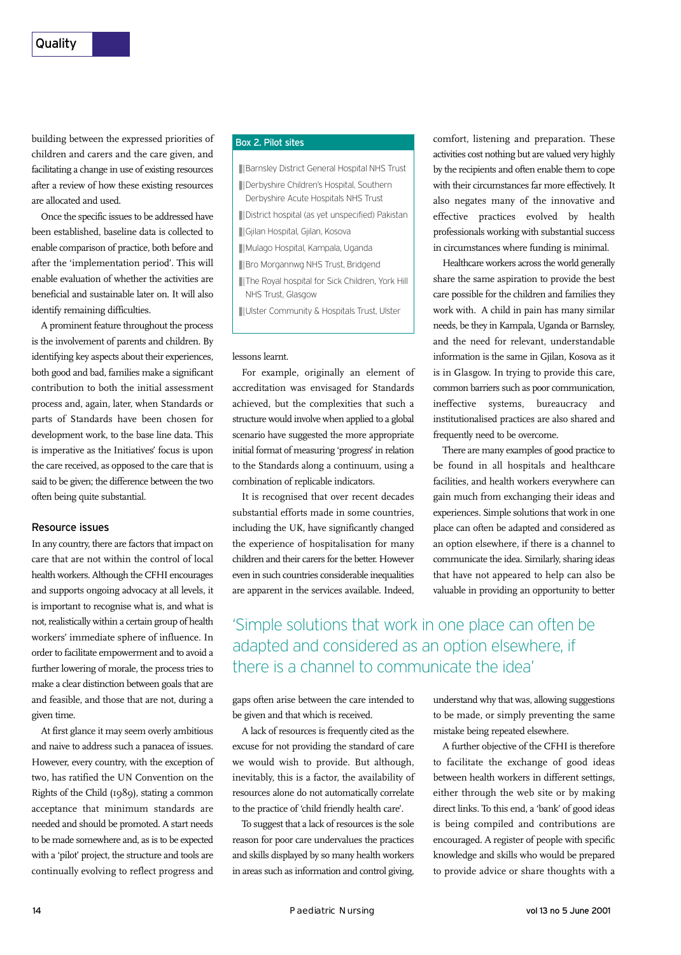building between the expressed priorities of children and carers and the care given, and facilitating a change in use of existing resources after a review of how these existing resources are allocated and used.

Once the specific issues to be addressed have been established, baseline data is collected to enable comparison of practice, both before and after the 'implementation period'. This will enable evaluation of whether the activities are beneficial and sustainable later on. It will also identify remaining difficulties.

A prominent feature throughout the process is the involvement of parents and children. By identifying key aspects about their experiences, both good and bad, families make a significant contribution to both the initial assessment process and, again, later, when Standards or parts of Standards have been chosen for development work, to the base line data. This is imperative as the Initiatives' focus is upon the care received, as opposed to the care that is said to be given; the difference between the two often being quite substantial.

#### Resource issues

In any country, there are factors that impact on care that are not within the control of local health workers. Although the CFHI encourages and supports ongoing advocacy at all levels, it is important to recognise what is, and what is not, realistically within a certain group of health workers' immediate sphere of influence. In order to facilitate empowerment and to avoid a further lowering of morale, the process tries to make a clear distinction between goals that are and feasible, and those that are not, during a given time.

At first glance it may seem overly ambitious and naive to address such a panacea of issues. However, every country, with the exception of two, has ratified the UN Convention on the Rights of the Child (1989), stating a common acceptance that minimum standards are needed and should be promoted. A start needs to be made somewhere and, as is to be expected with a 'pilot' project, the structure and tools are continually evolving to reflect progress and

### Box 2. Pilot sites

- **Barnsley District General Hospital NHS Trust**
- **Derbyshire Children's Hospital, Southern** Derbyshire Acute Hospitals NHS Trust
- **■** District hospital (as yet unspecified) Pakistan
- **■** Gjilan Hospital, Gjilan, Kosova
- **Mulago Hospital, Kampala, Uganda**
- **Bro Morgannwg NHS Trust, Bridgend**
- **III** The Royal hospital for Sick Children, York Hill NHS Trust, Glasgow
- **UGILA Ulster Community & Hospitals Trust, Ulster**

#### lessons learnt.

For example, originally an element of accreditation was envisaged for Standards achieved, but the complexities that such a structure would involve when applied to a global scenario have suggested the more appropriate initial format of measuring 'progress' in relation to the Standards along a continuum, using a combination of replicable indicators.

It is recognised that over recent decades substantial efforts made in some countries, including the UK, have significantly changed the experience of hospitalisation for many children and their carers for the better. However even in such countries considerable inequalities are apparent in the services available. Indeed,

comfort, listening and preparation. These activities cost nothing but are valued very highly by the recipients and often enable them to cope with their circumstances far more effectively. It also negates many of the innovative and effective practices evolved by health professionals working with substantial success in circumstances where funding is minimal.

Healthcare workers across the world generally share the same aspiration to provide the best care possible for the children and families they work with. A child in pain has many similar needs, be they in Kampala, Uganda or Barnsley, and the need for relevant, understandable information is the same in Gjilan, Kosova as it is in Glasgow. In trying to provide this care, common barriers such as poor communication, ineffective systems, bureaucracy and institutionalised practices are also shared and frequently need to be overcome.

There are many examples of good practice to be found in all hospitals and healthcare facilities, and health workers everywhere can gain much from exchanging their ideas and experiences. Simple solutions that work in one place can often be adapted and considered as an option elsewhere, if there is a channel to communicate the idea. Similarly, sharing ideas that have not appeared to help can also be valuable in providing an opportunity to better

# 'Simple solutions that work in one place can often be adapted and considered as an option elsewhere, if there is a channel to communicate the idea'

gaps often arise between the care intended to be given and that which is received.

A lack of resources is frequently cited as the excuse for not providing the standard of care we would wish to provide. But although, inevitably, this is a factor, the availability of resources alone do not automatically correlate to the practice of 'child friendly health care'.

To suggest that a lack of resources is the sole reason for poor care undervalues the practices and skills displayed by so many health workers in areas such as information and control giving,

understand why that was, allowing suggestions to be made, or simply preventing the same mistake being repeated elsewhere.

A further objective of the CFHI is therefore to facilitate the exchange of good ideas between health workers in different settings, either through the web site or by making direct links. To this end, a 'bank' of good ideas is being compiled and contributions are encouraged. A register of people with specific knowledge and skills who would be prepared to provide advice or share thoughts with a